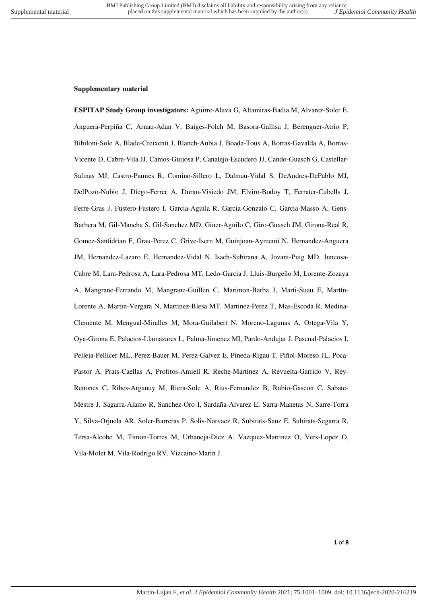## **Supplementary material**

**ESPITAP Study Group investigators:** Aguirre-Alava G, Altamiras-Badia M, Alvarez-Soler E, Anguera-Perpiña C, Arnau-Adan V, Baiges-Folch M, Basora-Gallisa J, Berenguer-Atrio P, Bibiloni-Sole A, Blade-Creixenti J, Blanch-Aubia J, Boada-Tous A, Borras-Gavalda A, Borras-Vicente D, Cabre-Vila JJ, Camos-Guijosa P, Canalejo-Escudero JJ, Cando-Guasch G, Castellar-Salinas MJ, Castro-Pamies R, Comino-Sillero L, Dalmau-Vidal S, DeAndres-DePablo MJ, DelPozo-Nubio J, Diego-Ferrer A, Duran-Visiedo JM, Elviro-Bodoy T, Ferrater-Cubells J, Ferre-Gras J, Fustero-Fustero I, Garcia-Aguila R, Garcia-Gonzalo C, Garcia-Masso A, Gens-Barbera M, Gil-Mancha S, Gil-Sanchez MD, Giner-Aguilo C, Giro-Guasch JM, Girona-Real R, Gomez-Santidrian F, Grau-Perez C, Grive-Isern M, Guinjoan-Aymemi N, Hernandez-Anguera JM, Hernandez-Lazaro E, Hernandez-Vidal N, Isach-Subirana A, Jovani-Puig MD, Juncosa-Cabre M, Lara-Pedrosa A, Lara-Pedrosa MT, Ledo-Garcia J, Lluis-Burgeño M, Lorente-Zozaya A, Mangrane-Ferrando M, Mangrane-Guillen C, Marimon-Barba J, Marti-Suau E, Martín-Lorente A, Martin-Vergara N, Martinez-Blesa MT, Martinez-Perez T, Mas-Escoda R, Medina-Clemente M, Mengual-Miralles M, Mora-Guilabert N, Moreno-Lagunas A, Ortega-Vila Y, Oya-Girona E, Palacios-Llamazares L, Palma-Jimenez MI, Pardo-Andujar J, Pascual-Palacios I, Pelleja-Pellicer ML, Perez-Bauer M, Perez-Galvez E, Pineda-Rigau T, Piñol-Moreso JL, Poca-Pastor A, Prats-Caellas A, Profitos-Amiell R, Reche-Martinez A, Revuelta-Garrido V, Rey-Reñones C, Ribes-Arganuy M, Riera-Sole A, Rius-Fernandez B, Rubio-Gascon C, Sabate-Mestre J, Sagarra-Alamo R, Sanchez-Oro I, Sardaña-Alvarez E, Sarra-Manetas N, Sarre-Torra Y, Silva-Orjuela AR, Soler-Barreras P, Solis-Narvaez R, Subirats-Sanz E, Subirats-Segarra R, Tersa-Alcobe M, Timon-Torres M, Urbaneja-Diez A, Vazquez-Martinez O, Vers-Lopez O, Vila-Molet M, Vila-Rodrigo RV, Vizcaino-Marin J.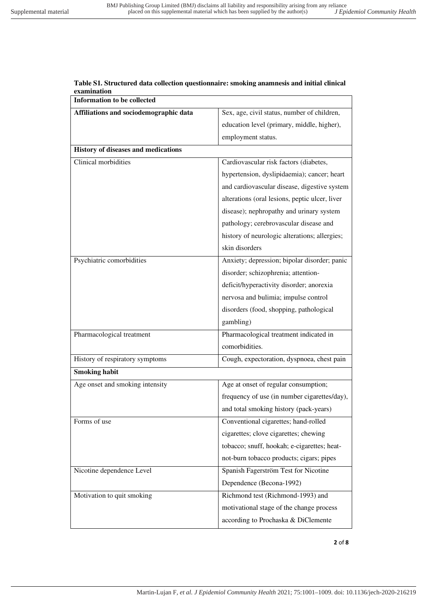| <b>Information to be collected</b>     |                                                |  |  |  |  |
|----------------------------------------|------------------------------------------------|--|--|--|--|
| Affiliations and sociodemographic data | Sex, age, civil status, number of children,    |  |  |  |  |
|                                        | education level (primary, middle, higher),     |  |  |  |  |
|                                        | employment status.                             |  |  |  |  |
| History of diseases and medications    |                                                |  |  |  |  |
| Clinical morbidities                   | Cardiovascular risk factors (diabetes,         |  |  |  |  |
|                                        | hypertension, dyslipidaemia); cancer; heart    |  |  |  |  |
|                                        | and cardiovascular disease, digestive system   |  |  |  |  |
|                                        | alterations (oral lesions, peptic ulcer, liver |  |  |  |  |
|                                        | disease); nephropathy and urinary system       |  |  |  |  |
|                                        | pathology; cerebrovascular disease and         |  |  |  |  |
|                                        | history of neurologic alterations; allergies;  |  |  |  |  |
|                                        | skin disorders                                 |  |  |  |  |
| Psychiatric comorbidities              | Anxiety; depression; bipolar disorder; panic   |  |  |  |  |
|                                        | disorder; schizophrenia; attention-            |  |  |  |  |
|                                        | deficit/hyperactivity disorder; anorexia       |  |  |  |  |
|                                        | nervosa and bulimia; impulse control           |  |  |  |  |
|                                        | disorders (food, shopping, pathological        |  |  |  |  |
|                                        | gambling)                                      |  |  |  |  |
| Pharmacological treatment              | Pharmacological treatment indicated in         |  |  |  |  |
|                                        | comorbidities.                                 |  |  |  |  |
| History of respiratory symptoms        | Cough, expectoration, dyspnoea, chest pain     |  |  |  |  |
| <b>Smoking habit</b>                   |                                                |  |  |  |  |
| Age onset and smoking intensity        | Age at onset of regular consumption;           |  |  |  |  |
|                                        | frequency of use (in number cigarettes/day),   |  |  |  |  |
|                                        | and total smoking history (pack-years)         |  |  |  |  |
| Forms of use                           | Conventional cigarettes; hand-rolled           |  |  |  |  |
|                                        | cigarettes; clove cigarettes; chewing          |  |  |  |  |
|                                        | tobacco; snuff, hookah; e-cigarettes; heat-    |  |  |  |  |
|                                        | not-burn tobacco products; cigars; pipes       |  |  |  |  |
| Nicotine dependence Level              | Spanish Fagerström Test for Nicotine           |  |  |  |  |
|                                        | Dependence (Becona-1992)                       |  |  |  |  |
| Motivation to quit smoking             | Richmond test (Richmond-1993) and              |  |  |  |  |

## **Table S1. Structured data collection questionnaire: smoking anamnesis and initial clinical examination**

motivational stage of the change process according to Prochaska & DiClemente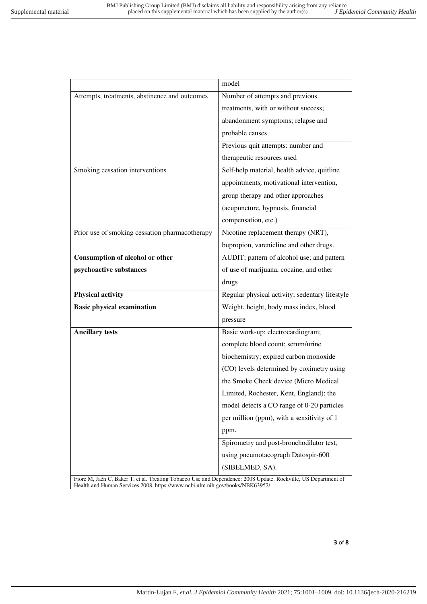|                                                                                                                                                                                                | model                                          |  |  |
|------------------------------------------------------------------------------------------------------------------------------------------------------------------------------------------------|------------------------------------------------|--|--|
| Attempts, treatments, abstinence and outcomes                                                                                                                                                  | Number of attempts and previous                |  |  |
|                                                                                                                                                                                                | treatments, with or without success;           |  |  |
|                                                                                                                                                                                                | abandonment symptoms; relapse and              |  |  |
|                                                                                                                                                                                                | probable causes                                |  |  |
|                                                                                                                                                                                                | Previous quit attempts: number and             |  |  |
|                                                                                                                                                                                                | therapeutic resources used                     |  |  |
| Smoking cessation interventions                                                                                                                                                                | Self-help material, health advice, quitline    |  |  |
|                                                                                                                                                                                                | appointments, motivational intervention,       |  |  |
|                                                                                                                                                                                                | group therapy and other approaches             |  |  |
|                                                                                                                                                                                                | (acupuncture, hypnosis, financial              |  |  |
|                                                                                                                                                                                                | compensation, etc.)                            |  |  |
| Prior use of smoking cessation pharmacotherapy                                                                                                                                                 | Nicotine replacement therapy (NRT),            |  |  |
|                                                                                                                                                                                                | bupropion, varenicline and other drugs.        |  |  |
| Consumption of alcohol or other                                                                                                                                                                | AUDIT; pattern of alcohol use; and pattern     |  |  |
| psychoactive substances                                                                                                                                                                        | of use of marijuana, cocaine, and other        |  |  |
|                                                                                                                                                                                                | drugs                                          |  |  |
| <b>Physical activity</b>                                                                                                                                                                       | Regular physical activity; sedentary lifestyle |  |  |
| <b>Basic physical examination</b>                                                                                                                                                              | Weight, height, body mass index, blood         |  |  |
|                                                                                                                                                                                                | pressure                                       |  |  |
| <b>Ancillary tests</b>                                                                                                                                                                         | Basic work-up: electrocardiogram;              |  |  |
|                                                                                                                                                                                                | complete blood count; serum/urine              |  |  |
|                                                                                                                                                                                                | biochemistry; expired carbon monoxide          |  |  |
|                                                                                                                                                                                                | (CO) levels determined by coximetry using      |  |  |
|                                                                                                                                                                                                | the Smoke Check device (Micro Medical          |  |  |
|                                                                                                                                                                                                | Limited, Rochester, Kent, England); the        |  |  |
|                                                                                                                                                                                                | model detects a CO range of 0-20 particles     |  |  |
|                                                                                                                                                                                                | per million (ppm), with a sensitivity of 1     |  |  |
|                                                                                                                                                                                                | ppm.                                           |  |  |
|                                                                                                                                                                                                | Spirometry and post-bronchodilator test,       |  |  |
|                                                                                                                                                                                                | using pneumotacograph Datospir-600             |  |  |
|                                                                                                                                                                                                | (SIBELMED, SA).                                |  |  |
| Fiore M, Jaén C, Baker T, et al. Treating Tobacco Use and Dependence: 2008 Update. Rockville, US Department of<br>Health and Human Services 2008. https://www.ncbi.nlm.nih.gov/books/NBK63952/ |                                                |  |  |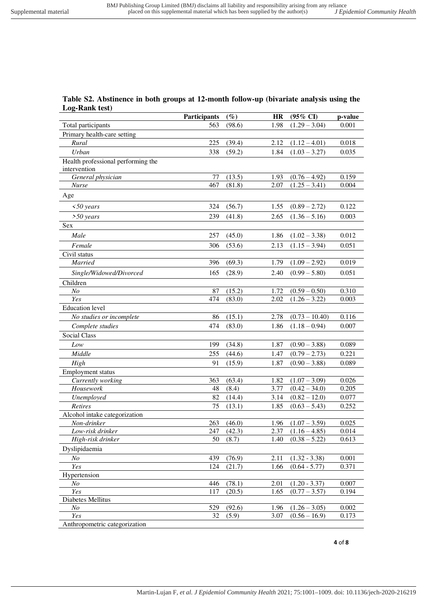## **Table S2. Abstinence in both groups at 12-month follow-up (bivariate analysis using the Log-Rank test)**

| 563<br>(98.6)<br>1.98<br>$(1.29 - 3.04)$<br>0.001<br>Total participants<br>Primary health-care setting<br>Rural<br>(39.4)<br>225<br>2.12<br>$(1.12 - 4.01)$<br>0.018<br>Urban<br>338<br>(59.2)<br>1.84<br>$(1.03 - 3.27)$<br>0.035<br>Health professional performing the<br>intervention<br>General physician<br>(13.5)<br>77<br>1.93<br>$(0.76 - 4.92)$<br>0.159<br>467<br>(81.8)<br>$(1.25 - 3.41)$<br>0.004<br>2.07<br><b>Nurse</b><br>Age<br>324<br>(56.7)<br>1.55<br>$(0.89 - 2.72)$<br>0.122<br>$50 \, years$<br>239<br>(41.8)<br>2.65<br>$(1.36 - 5.16)$<br>0.003<br>$>50$ years<br>Sex<br>Male<br>257<br>1.86<br>$(1.02 - 3.38)$<br>0.012<br>(45.0)<br>Female<br>(53.6)<br>$(1.15 - 3.94)$<br>306<br>2.13<br>0.051<br>Civil status<br>Married<br>(69.3)<br>$(1.09 - 2.92)$<br>396<br>1.79<br>0.019<br>165<br>(28.9)<br>2.40<br>$(0.99 - 5.80)$<br>Single/Widowed/Divorced<br>0.051<br>Children<br>$\sqrt{N}$<br>(15.2)<br>1.72<br>0.310<br>87<br>$(0.59 - 0.50)$<br>Yes<br>474<br>(83.0)<br>$(1.26 - 3.22)$<br>2.02<br>0.003<br><b>Education</b> level<br>No studies or incomplete<br>86<br>(15.1)<br>$(0.73 - 10.40)$<br>0.116<br>2.78<br>Complete studies<br>474<br>(83.0)<br>1.86<br>$(1.18 - 0.94)$<br>0.007<br><b>Social Class</b><br>199<br>$(0.90 - 3.88)$<br>Low<br>(34.8)<br>1.87<br>0.089<br>255<br>(44.6)<br>Middle<br>1.47<br>$(0.79 - 2.73)$<br>0.221<br>High<br>91<br>(15.9)<br>1.87<br>$(0.90 - 3.88)$<br>0.089<br>Employment status<br>Currently working<br>(63.4)<br>1.82<br>$(1.07 - 3.09)$<br>0.026<br>363<br>(8.4)<br>3.77<br>Housework<br>48<br>$(0.42 - 34.0)$<br>0.205<br>Unemployed<br>82<br>(14.4)<br>3.14<br>$(0.82 - 12.0)$<br>0.077<br>Retires<br>75<br>(13.1)<br>1.85<br>$(0.63 - 5.43)$<br>0.252<br>Alcohol intake categorization<br>Non-drinker<br>263<br>(46.0)<br>1.96<br>$(1.07 - 3.59)$<br>0.025<br>247<br>(42.3)<br>2.37<br>$(1.16 - 4.85)$<br>0.014<br>Low-risk drinker<br>High-risk drinker<br>$(0.38 - 5.22)$<br>50<br>(8.7)<br>1.40<br>0.613<br>Dyslipidaemia<br>(76.9)<br>N <sub>O</sub><br>439<br>$(1.32 - 3.38)$<br>2.11<br>0.001<br>Yes<br>124<br>(21.7)<br>1.66<br>$(0.64 - 5.77)$<br>0.371<br>Hypertension<br>(78.1)<br>N <sub>O</sub><br>446<br>$(1.20 - 3.37)$<br>0.007<br>2.01<br>Yes<br>117<br>(20.5)<br>1.65<br>$(0.77 - 3.57)$<br>0.194<br>Diabetes Mellitus<br>$(1.26 - 3.05)$<br>N <sub>O</sub><br>529<br>(92.6)<br>1.96<br>0.002<br>$(0.56 - 16.9)$<br>Yes<br>32<br>(5.9)<br>3.07<br>0.173 |                               | Participants | $(\%)$ | <b>HR</b> | (95% CI) | p-value |
|-----------------------------------------------------------------------------------------------------------------------------------------------------------------------------------------------------------------------------------------------------------------------------------------------------------------------------------------------------------------------------------------------------------------------------------------------------------------------------------------------------------------------------------------------------------------------------------------------------------------------------------------------------------------------------------------------------------------------------------------------------------------------------------------------------------------------------------------------------------------------------------------------------------------------------------------------------------------------------------------------------------------------------------------------------------------------------------------------------------------------------------------------------------------------------------------------------------------------------------------------------------------------------------------------------------------------------------------------------------------------------------------------------------------------------------------------------------------------------------------------------------------------------------------------------------------------------------------------------------------------------------------------------------------------------------------------------------------------------------------------------------------------------------------------------------------------------------------------------------------------------------------------------------------------------------------------------------------------------------------------------------------------------------------------------------------------------------------------------------------------------------------------------------------------------------------------------------------------------------------------------------------------------------------------------------------------------------------------------------------------------------------------------------------------------------------------------------|-------------------------------|--------------|--------|-----------|----------|---------|
|                                                                                                                                                                                                                                                                                                                                                                                                                                                                                                                                                                                                                                                                                                                                                                                                                                                                                                                                                                                                                                                                                                                                                                                                                                                                                                                                                                                                                                                                                                                                                                                                                                                                                                                                                                                                                                                                                                                                                                                                                                                                                                                                                                                                                                                                                                                                                                                                                                                           |                               |              |        |           |          |         |
|                                                                                                                                                                                                                                                                                                                                                                                                                                                                                                                                                                                                                                                                                                                                                                                                                                                                                                                                                                                                                                                                                                                                                                                                                                                                                                                                                                                                                                                                                                                                                                                                                                                                                                                                                                                                                                                                                                                                                                                                                                                                                                                                                                                                                                                                                                                                                                                                                                                           |                               |              |        |           |          |         |
|                                                                                                                                                                                                                                                                                                                                                                                                                                                                                                                                                                                                                                                                                                                                                                                                                                                                                                                                                                                                                                                                                                                                                                                                                                                                                                                                                                                                                                                                                                                                                                                                                                                                                                                                                                                                                                                                                                                                                                                                                                                                                                                                                                                                                                                                                                                                                                                                                                                           |                               |              |        |           |          |         |
|                                                                                                                                                                                                                                                                                                                                                                                                                                                                                                                                                                                                                                                                                                                                                                                                                                                                                                                                                                                                                                                                                                                                                                                                                                                                                                                                                                                                                                                                                                                                                                                                                                                                                                                                                                                                                                                                                                                                                                                                                                                                                                                                                                                                                                                                                                                                                                                                                                                           |                               |              |        |           |          |         |
|                                                                                                                                                                                                                                                                                                                                                                                                                                                                                                                                                                                                                                                                                                                                                                                                                                                                                                                                                                                                                                                                                                                                                                                                                                                                                                                                                                                                                                                                                                                                                                                                                                                                                                                                                                                                                                                                                                                                                                                                                                                                                                                                                                                                                                                                                                                                                                                                                                                           |                               |              |        |           |          |         |
|                                                                                                                                                                                                                                                                                                                                                                                                                                                                                                                                                                                                                                                                                                                                                                                                                                                                                                                                                                                                                                                                                                                                                                                                                                                                                                                                                                                                                                                                                                                                                                                                                                                                                                                                                                                                                                                                                                                                                                                                                                                                                                                                                                                                                                                                                                                                                                                                                                                           |                               |              |        |           |          |         |
|                                                                                                                                                                                                                                                                                                                                                                                                                                                                                                                                                                                                                                                                                                                                                                                                                                                                                                                                                                                                                                                                                                                                                                                                                                                                                                                                                                                                                                                                                                                                                                                                                                                                                                                                                                                                                                                                                                                                                                                                                                                                                                                                                                                                                                                                                                                                                                                                                                                           |                               |              |        |           |          |         |
|                                                                                                                                                                                                                                                                                                                                                                                                                                                                                                                                                                                                                                                                                                                                                                                                                                                                                                                                                                                                                                                                                                                                                                                                                                                                                                                                                                                                                                                                                                                                                                                                                                                                                                                                                                                                                                                                                                                                                                                                                                                                                                                                                                                                                                                                                                                                                                                                                                                           |                               |              |        |           |          |         |
|                                                                                                                                                                                                                                                                                                                                                                                                                                                                                                                                                                                                                                                                                                                                                                                                                                                                                                                                                                                                                                                                                                                                                                                                                                                                                                                                                                                                                                                                                                                                                                                                                                                                                                                                                                                                                                                                                                                                                                                                                                                                                                                                                                                                                                                                                                                                                                                                                                                           |                               |              |        |           |          |         |
|                                                                                                                                                                                                                                                                                                                                                                                                                                                                                                                                                                                                                                                                                                                                                                                                                                                                                                                                                                                                                                                                                                                                                                                                                                                                                                                                                                                                                                                                                                                                                                                                                                                                                                                                                                                                                                                                                                                                                                                                                                                                                                                                                                                                                                                                                                                                                                                                                                                           |                               |              |        |           |          |         |
|                                                                                                                                                                                                                                                                                                                                                                                                                                                                                                                                                                                                                                                                                                                                                                                                                                                                                                                                                                                                                                                                                                                                                                                                                                                                                                                                                                                                                                                                                                                                                                                                                                                                                                                                                                                                                                                                                                                                                                                                                                                                                                                                                                                                                                                                                                                                                                                                                                                           |                               |              |        |           |          |         |
|                                                                                                                                                                                                                                                                                                                                                                                                                                                                                                                                                                                                                                                                                                                                                                                                                                                                                                                                                                                                                                                                                                                                                                                                                                                                                                                                                                                                                                                                                                                                                                                                                                                                                                                                                                                                                                                                                                                                                                                                                                                                                                                                                                                                                                                                                                                                                                                                                                                           |                               |              |        |           |          |         |
|                                                                                                                                                                                                                                                                                                                                                                                                                                                                                                                                                                                                                                                                                                                                                                                                                                                                                                                                                                                                                                                                                                                                                                                                                                                                                                                                                                                                                                                                                                                                                                                                                                                                                                                                                                                                                                                                                                                                                                                                                                                                                                                                                                                                                                                                                                                                                                                                                                                           |                               |              |        |           |          |         |
|                                                                                                                                                                                                                                                                                                                                                                                                                                                                                                                                                                                                                                                                                                                                                                                                                                                                                                                                                                                                                                                                                                                                                                                                                                                                                                                                                                                                                                                                                                                                                                                                                                                                                                                                                                                                                                                                                                                                                                                                                                                                                                                                                                                                                                                                                                                                                                                                                                                           |                               |              |        |           |          |         |
|                                                                                                                                                                                                                                                                                                                                                                                                                                                                                                                                                                                                                                                                                                                                                                                                                                                                                                                                                                                                                                                                                                                                                                                                                                                                                                                                                                                                                                                                                                                                                                                                                                                                                                                                                                                                                                                                                                                                                                                                                                                                                                                                                                                                                                                                                                                                                                                                                                                           |                               |              |        |           |          |         |
|                                                                                                                                                                                                                                                                                                                                                                                                                                                                                                                                                                                                                                                                                                                                                                                                                                                                                                                                                                                                                                                                                                                                                                                                                                                                                                                                                                                                                                                                                                                                                                                                                                                                                                                                                                                                                                                                                                                                                                                                                                                                                                                                                                                                                                                                                                                                                                                                                                                           |                               |              |        |           |          |         |
|                                                                                                                                                                                                                                                                                                                                                                                                                                                                                                                                                                                                                                                                                                                                                                                                                                                                                                                                                                                                                                                                                                                                                                                                                                                                                                                                                                                                                                                                                                                                                                                                                                                                                                                                                                                                                                                                                                                                                                                                                                                                                                                                                                                                                                                                                                                                                                                                                                                           |                               |              |        |           |          |         |
|                                                                                                                                                                                                                                                                                                                                                                                                                                                                                                                                                                                                                                                                                                                                                                                                                                                                                                                                                                                                                                                                                                                                                                                                                                                                                                                                                                                                                                                                                                                                                                                                                                                                                                                                                                                                                                                                                                                                                                                                                                                                                                                                                                                                                                                                                                                                                                                                                                                           |                               |              |        |           |          |         |
|                                                                                                                                                                                                                                                                                                                                                                                                                                                                                                                                                                                                                                                                                                                                                                                                                                                                                                                                                                                                                                                                                                                                                                                                                                                                                                                                                                                                                                                                                                                                                                                                                                                                                                                                                                                                                                                                                                                                                                                                                                                                                                                                                                                                                                                                                                                                                                                                                                                           |                               |              |        |           |          |         |
|                                                                                                                                                                                                                                                                                                                                                                                                                                                                                                                                                                                                                                                                                                                                                                                                                                                                                                                                                                                                                                                                                                                                                                                                                                                                                                                                                                                                                                                                                                                                                                                                                                                                                                                                                                                                                                                                                                                                                                                                                                                                                                                                                                                                                                                                                                                                                                                                                                                           |                               |              |        |           |          |         |
|                                                                                                                                                                                                                                                                                                                                                                                                                                                                                                                                                                                                                                                                                                                                                                                                                                                                                                                                                                                                                                                                                                                                                                                                                                                                                                                                                                                                                                                                                                                                                                                                                                                                                                                                                                                                                                                                                                                                                                                                                                                                                                                                                                                                                                                                                                                                                                                                                                                           |                               |              |        |           |          |         |
|                                                                                                                                                                                                                                                                                                                                                                                                                                                                                                                                                                                                                                                                                                                                                                                                                                                                                                                                                                                                                                                                                                                                                                                                                                                                                                                                                                                                                                                                                                                                                                                                                                                                                                                                                                                                                                                                                                                                                                                                                                                                                                                                                                                                                                                                                                                                                                                                                                                           |                               |              |        |           |          |         |
|                                                                                                                                                                                                                                                                                                                                                                                                                                                                                                                                                                                                                                                                                                                                                                                                                                                                                                                                                                                                                                                                                                                                                                                                                                                                                                                                                                                                                                                                                                                                                                                                                                                                                                                                                                                                                                                                                                                                                                                                                                                                                                                                                                                                                                                                                                                                                                                                                                                           |                               |              |        |           |          |         |
|                                                                                                                                                                                                                                                                                                                                                                                                                                                                                                                                                                                                                                                                                                                                                                                                                                                                                                                                                                                                                                                                                                                                                                                                                                                                                                                                                                                                                                                                                                                                                                                                                                                                                                                                                                                                                                                                                                                                                                                                                                                                                                                                                                                                                                                                                                                                                                                                                                                           |                               |              |        |           |          |         |
|                                                                                                                                                                                                                                                                                                                                                                                                                                                                                                                                                                                                                                                                                                                                                                                                                                                                                                                                                                                                                                                                                                                                                                                                                                                                                                                                                                                                                                                                                                                                                                                                                                                                                                                                                                                                                                                                                                                                                                                                                                                                                                                                                                                                                                                                                                                                                                                                                                                           |                               |              |        |           |          |         |
|                                                                                                                                                                                                                                                                                                                                                                                                                                                                                                                                                                                                                                                                                                                                                                                                                                                                                                                                                                                                                                                                                                                                                                                                                                                                                                                                                                                                                                                                                                                                                                                                                                                                                                                                                                                                                                                                                                                                                                                                                                                                                                                                                                                                                                                                                                                                                                                                                                                           |                               |              |        |           |          |         |
|                                                                                                                                                                                                                                                                                                                                                                                                                                                                                                                                                                                                                                                                                                                                                                                                                                                                                                                                                                                                                                                                                                                                                                                                                                                                                                                                                                                                                                                                                                                                                                                                                                                                                                                                                                                                                                                                                                                                                                                                                                                                                                                                                                                                                                                                                                                                                                                                                                                           |                               |              |        |           |          |         |
|                                                                                                                                                                                                                                                                                                                                                                                                                                                                                                                                                                                                                                                                                                                                                                                                                                                                                                                                                                                                                                                                                                                                                                                                                                                                                                                                                                                                                                                                                                                                                                                                                                                                                                                                                                                                                                                                                                                                                                                                                                                                                                                                                                                                                                                                                                                                                                                                                                                           |                               |              |        |           |          |         |
|                                                                                                                                                                                                                                                                                                                                                                                                                                                                                                                                                                                                                                                                                                                                                                                                                                                                                                                                                                                                                                                                                                                                                                                                                                                                                                                                                                                                                                                                                                                                                                                                                                                                                                                                                                                                                                                                                                                                                                                                                                                                                                                                                                                                                                                                                                                                                                                                                                                           |                               |              |        |           |          |         |
|                                                                                                                                                                                                                                                                                                                                                                                                                                                                                                                                                                                                                                                                                                                                                                                                                                                                                                                                                                                                                                                                                                                                                                                                                                                                                                                                                                                                                                                                                                                                                                                                                                                                                                                                                                                                                                                                                                                                                                                                                                                                                                                                                                                                                                                                                                                                                                                                                                                           |                               |              |        |           |          |         |
|                                                                                                                                                                                                                                                                                                                                                                                                                                                                                                                                                                                                                                                                                                                                                                                                                                                                                                                                                                                                                                                                                                                                                                                                                                                                                                                                                                                                                                                                                                                                                                                                                                                                                                                                                                                                                                                                                                                                                                                                                                                                                                                                                                                                                                                                                                                                                                                                                                                           |                               |              |        |           |          |         |
|                                                                                                                                                                                                                                                                                                                                                                                                                                                                                                                                                                                                                                                                                                                                                                                                                                                                                                                                                                                                                                                                                                                                                                                                                                                                                                                                                                                                                                                                                                                                                                                                                                                                                                                                                                                                                                                                                                                                                                                                                                                                                                                                                                                                                                                                                                                                                                                                                                                           |                               |              |        |           |          |         |
|                                                                                                                                                                                                                                                                                                                                                                                                                                                                                                                                                                                                                                                                                                                                                                                                                                                                                                                                                                                                                                                                                                                                                                                                                                                                                                                                                                                                                                                                                                                                                                                                                                                                                                                                                                                                                                                                                                                                                                                                                                                                                                                                                                                                                                                                                                                                                                                                                                                           |                               |              |        |           |          |         |
|                                                                                                                                                                                                                                                                                                                                                                                                                                                                                                                                                                                                                                                                                                                                                                                                                                                                                                                                                                                                                                                                                                                                                                                                                                                                                                                                                                                                                                                                                                                                                                                                                                                                                                                                                                                                                                                                                                                                                                                                                                                                                                                                                                                                                                                                                                                                                                                                                                                           |                               |              |        |           |          |         |
|                                                                                                                                                                                                                                                                                                                                                                                                                                                                                                                                                                                                                                                                                                                                                                                                                                                                                                                                                                                                                                                                                                                                                                                                                                                                                                                                                                                                                                                                                                                                                                                                                                                                                                                                                                                                                                                                                                                                                                                                                                                                                                                                                                                                                                                                                                                                                                                                                                                           |                               |              |        |           |          |         |
|                                                                                                                                                                                                                                                                                                                                                                                                                                                                                                                                                                                                                                                                                                                                                                                                                                                                                                                                                                                                                                                                                                                                                                                                                                                                                                                                                                                                                                                                                                                                                                                                                                                                                                                                                                                                                                                                                                                                                                                                                                                                                                                                                                                                                                                                                                                                                                                                                                                           |                               |              |        |           |          |         |
|                                                                                                                                                                                                                                                                                                                                                                                                                                                                                                                                                                                                                                                                                                                                                                                                                                                                                                                                                                                                                                                                                                                                                                                                                                                                                                                                                                                                                                                                                                                                                                                                                                                                                                                                                                                                                                                                                                                                                                                                                                                                                                                                                                                                                                                                                                                                                                                                                                                           |                               |              |        |           |          |         |
|                                                                                                                                                                                                                                                                                                                                                                                                                                                                                                                                                                                                                                                                                                                                                                                                                                                                                                                                                                                                                                                                                                                                                                                                                                                                                                                                                                                                                                                                                                                                                                                                                                                                                                                                                                                                                                                                                                                                                                                                                                                                                                                                                                                                                                                                                                                                                                                                                                                           |                               |              |        |           |          |         |
|                                                                                                                                                                                                                                                                                                                                                                                                                                                                                                                                                                                                                                                                                                                                                                                                                                                                                                                                                                                                                                                                                                                                                                                                                                                                                                                                                                                                                                                                                                                                                                                                                                                                                                                                                                                                                                                                                                                                                                                                                                                                                                                                                                                                                                                                                                                                                                                                                                                           |                               |              |        |           |          |         |
|                                                                                                                                                                                                                                                                                                                                                                                                                                                                                                                                                                                                                                                                                                                                                                                                                                                                                                                                                                                                                                                                                                                                                                                                                                                                                                                                                                                                                                                                                                                                                                                                                                                                                                                                                                                                                                                                                                                                                                                                                                                                                                                                                                                                                                                                                                                                                                                                                                                           |                               |              |        |           |          |         |
|                                                                                                                                                                                                                                                                                                                                                                                                                                                                                                                                                                                                                                                                                                                                                                                                                                                                                                                                                                                                                                                                                                                                                                                                                                                                                                                                                                                                                                                                                                                                                                                                                                                                                                                                                                                                                                                                                                                                                                                                                                                                                                                                                                                                                                                                                                                                                                                                                                                           |                               |              |        |           |          |         |
|                                                                                                                                                                                                                                                                                                                                                                                                                                                                                                                                                                                                                                                                                                                                                                                                                                                                                                                                                                                                                                                                                                                                                                                                                                                                                                                                                                                                                                                                                                                                                                                                                                                                                                                                                                                                                                                                                                                                                                                                                                                                                                                                                                                                                                                                                                                                                                                                                                                           |                               |              |        |           |          |         |
|                                                                                                                                                                                                                                                                                                                                                                                                                                                                                                                                                                                                                                                                                                                                                                                                                                                                                                                                                                                                                                                                                                                                                                                                                                                                                                                                                                                                                                                                                                                                                                                                                                                                                                                                                                                                                                                                                                                                                                                                                                                                                                                                                                                                                                                                                                                                                                                                                                                           |                               |              |        |           |          |         |
|                                                                                                                                                                                                                                                                                                                                                                                                                                                                                                                                                                                                                                                                                                                                                                                                                                                                                                                                                                                                                                                                                                                                                                                                                                                                                                                                                                                                                                                                                                                                                                                                                                                                                                                                                                                                                                                                                                                                                                                                                                                                                                                                                                                                                                                                                                                                                                                                                                                           |                               |              |        |           |          |         |
|                                                                                                                                                                                                                                                                                                                                                                                                                                                                                                                                                                                                                                                                                                                                                                                                                                                                                                                                                                                                                                                                                                                                                                                                                                                                                                                                                                                                                                                                                                                                                                                                                                                                                                                                                                                                                                                                                                                                                                                                                                                                                                                                                                                                                                                                                                                                                                                                                                                           | Anthropometric categorization |              |        |           |          |         |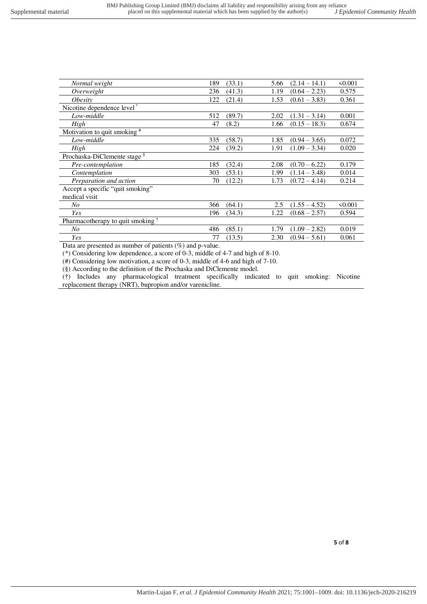| Normal weight                             | 189 | (33.1) | 5.66 | $(2.14 - 14.1)$ | 50.001 |
|-------------------------------------------|-----|--------|------|-----------------|--------|
| Overweight                                | 236 | (41.3) | 1.19 | $(0.64 - 2.23)$ | 0.575  |
| <i><b>Obesity</b></i>                     | 122 | (21.4) | 1.53 | $(0.61 - 3.83)$ | 0.361  |
| Nicotine dependence level*                |     |        |      |                 |        |
| Low-middle                                | 512 | (89.7) | 2.02 | $(1.31 - 3.14)$ | 0.001  |
| High                                      | 47  | (8.2)  | 1.66 | $(0.15 - 18.3)$ | 0.674  |
| Motivation to quit smoking $#$            |     |        |      |                 |        |
| Low-middle                                | 335 | (58.7) | 1.85 | $(0.94 - 3.65)$ | 0.072  |
| High                                      | 224 | (39.2) | 1.91 | $(1.09 - 3.34)$ | 0.020  |
| Prochaska-DiClemente stage §              |     |        |      |                 |        |
| Pre-contemplation                         | 185 | (32.4) | 2.08 | $(0.70 - 6.22)$ | 0.179  |
| Contemplation                             | 303 | (53.1) | 1.99 | $(1.14 - 3.48)$ | 0.014  |
| Preparation and action                    | 70  | (12.2) | 1.73 | $(0.72 - 4.14)$ | 0.214  |
| Accept a specific "quit smoking"          |     |        |      |                 |        |
| medical visit                             |     |        |      |                 |        |
| $N_{O}$                                   | 366 | (64.1) | 2.5  | $(1.55 - 4.52)$ | 50.001 |
| Yes                                       | 196 | (34.3) | 1.22 | $(0.68 - 2.57)$ | 0.594  |
| Pharmacotherapy to quit smoking $\bar{1}$ |     |        |      |                 |        |
| N <sub>O</sub>                            | 486 | (85.1) | 1.79 | $(1.09 - 2.82)$ | 0.019  |
| Yes                                       | 77  | (13.5) | 2.30 | $(0.94 - 5.61)$ | 0.061  |

Data are presented as number of patients (%) and p-value.

(\*) Considering low dependence, a score of 0-3, middle of 4-7 and high of 8-10.

(#) Considering low motivation, a score of 0-3, middle of 4-6 and high of 7-10.

(§) According to the definition of the Prochaska and DiClemente model.

(†) Includes any pharmacological treatment specifically indicated to quit smoking: Nicotine replacement therapy (NRT), bupropion and/or varenicline.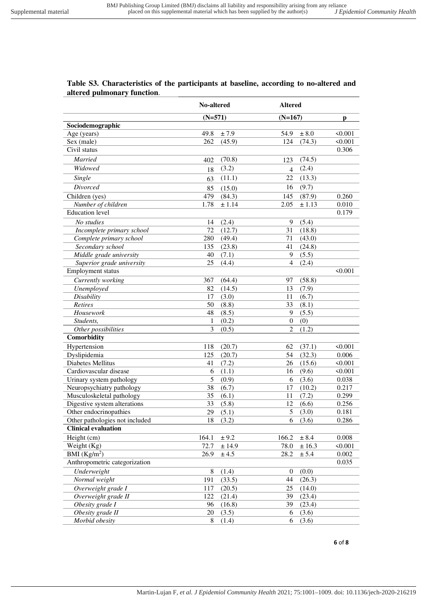## **Table S3. Characteristics of the participants at baseline, according to no-altered and altered pulmonary function**.

|                                |           | No-altered |                | <b>Altered</b> |              |
|--------------------------------|-----------|------------|----------------|----------------|--------------|
|                                | $(N=571)$ |            | $(N=167)$      | p              |              |
| Sociodemographic               |           |            |                |                |              |
| Age (years)                    | 49.8      | ±7.9       | 54.9           | $\pm\,8.0$     | < 0.001      |
| Sex (male)                     | 262       | (45.9)     | 124            | (74.3)         | < 0.001      |
| Civil status                   |           |            |                |                | 0.306        |
| Married                        | 402       | (70.8)     | 123            | (74.5)         |              |
| Widowed                        | 18        | (3.2)      | 4              | (2.4)          |              |
| Single                         | 63        | (11.1)     | 22             | (13.3)         |              |
| Divorced                       | 85        | (15.0)     | 16             | (9.7)          |              |
| Children (yes)                 | 479       | (84.3)     | 145            | (87.9)         | 0.260        |
| Number of children             | 1.78      | ± 1.14     | 2.05           | ± 1.13         | 0.010        |
| <b>Education</b> level         |           |            |                |                | 0.179        |
| No studies                     | 14        | (2.4)      | 9              | (5.4)          |              |
| Incomplete primary school      | 72        | (12.7)     | 31             | (18.8)         |              |
| Complete primary school        | 280       | (49.4)     | 71             | (43.0)         |              |
| Secondary school               | 135       | (23.8)     | 41             | (24.8)         |              |
| Middle grade university        | 40        | (7.1)      | 9              | (5.5)          |              |
| Superior grade university      | 25        | (4.4)      | 4              | (2.4)          |              |
| Employment status              |           |            |                |                | < 0.001      |
| Currently working              | 367       | (64.4)     | 97             | (58.8)         |              |
| Unemployed                     | 82        | (14.5)     | 13             | (7.9)          |              |
| Disability                     | 17        | (3.0)      | 11             | (6.7)          |              |
| Retires                        | 50        | (8.8)      | 33             | (8.1)          |              |
| Housework                      | 48        | (8.5)      | 9              | (5.5)          |              |
| $\overline{Students}$ ,        | 1         | (0.2)      | $\overline{0}$ | (0)            |              |
| Other possibilities            | 3         | (0.5)      | $\mathfrak{D}$ | (1.2)          |              |
| Comorbidity                    |           |            |                |                |              |
| Hypertension                   | 118       | (20.7)     | 62             | (37.1)         | $\leq 0.001$ |
| Dyslipidemia                   | 125       | (20.7)     | 54             | (32.3)         | 0.006        |
| Diabetes Mellitus              | 41        | (7.2)      | 26             | (15.6)         | < 0.001      |
| Cardiovascular disease         | 6         | (1.1)      | 16             | (9.6)          | < 0.001      |
| Urinary system pathology       | 5         | (0.9)      | 6              | (3.6)          | 0.038        |
| Neuropsychiatry pathology      | 38        | (6.7)      | 17             | (10.2)         | 0.217        |
| Musculoskeletal pathology      | 35        | (6.1)      | 11             | (7.2)          | 0.299        |
| Digestive system alterations   | 33        | (5.8)      | 12             | (6.6)          | 0.256        |
| Other endocrinopathies         | 29        | (5.1)      | 5              | (3.0)          | 0.181        |
| Other pathologies not included | 18        | (3.2)      | 6              | (3.6)          | 0.286        |
| <b>Clinical evaluation</b>     |           |            |                |                |              |
| Height (cm)                    | 164.1     | ± 9.2      | 166.2          | $\pm\,8.4$     | 0.008        |
| Weight (Kg)                    | 72.7      | ± 14.9     | 78.0           | ± 16.3         | < 0.001      |
| BMI $(Kg/m^2)$                 | 26.9      | ± 4.5      | 28.2           | ± 5.4          | 0.002        |
| Anthropometric categorization  |           |            |                |                | 0.035        |
| Underweight                    | 8         | (1.4)      | $\overline{0}$ | (0.0)          |              |
| Normal weight                  | 191       | (33.5)     | 44             | (26.3)         |              |
| Overweight grade I             | 117       | (20.5)     | 25             | (14.0)         |              |
| Overweight grade II            | 122       | (21.4)     | 39             | (23.4)         |              |
| Obesity grade I                | 96        | (16.8)     | 39             | (23.4)         |              |
| Obesity grade II               | 20        | (3.5)      | 6              | (3.6)          |              |
| Morbid obesity                 | 8         | (1.4)      | 6              | (3.6)          |              |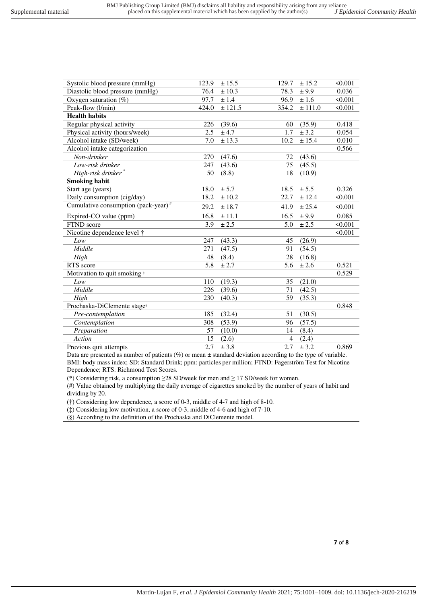| Systolic blood pressure (mmHg)                  | 123.9 | ± 15.5  | 129.7          | ± 15.2  | < 0.001 |
|-------------------------------------------------|-------|---------|----------------|---------|---------|
| Diastolic blood pressure (mmHg)                 | 76.4  | ± 10.3  | 78.3           | ± 9.9   | 0.036   |
| Oxygen saturation $(\%)$                        | 97.7  | ± 1.4   | 96.9           | ±1.6    | < 0.001 |
| Peak-flow (l/min)                               | 424.0 | ± 121.5 | 354.2          | ± 111.0 | < 0.001 |
| <b>Health habits</b>                            |       |         |                |         |         |
| Regular physical activity                       | 226   | (39.6)  | 60             | (35.9)  | 0.418   |
| Physical activity (hours/week)                  | 2.5   | ± 4.7   | 1.7            | ± 3.2   | 0.054   |
| Alcohol intake (SD/week)                        | 7.0   | ± 13.3  | 10.2           | ± 15.4  | 0.010   |
| Alcohol intake categorization                   |       |         |                |         | 0.566   |
| Non-drinker                                     | 270   | (47.6)  | 72             | (43.6)  |         |
| Low-risk drinker                                | 247   | (43.6)  | 75             | (45.5)  |         |
| High-risk drinker <sup>*</sup>                  | 50    | (8.8)   | 18             | (10.9)  |         |
| <b>Smoking habit</b>                            |       |         |                |         |         |
| Start age (years)                               | 18.0  | ± 5.7   | 18.5           | ± 5.5   | 0.326   |
| Daily consumption (cig/day)                     | 18.2  | ± 10.2  | 22.7           | ± 12.4  | < 0.001 |
| Cumulative consumption (pack-year) <sup>#</sup> | 29.2  | ± 18.7  | 41.9           | ± 25.4  | < 0.001 |
| Expired-CO value (ppm)                          | 16.8  | ± 11.1  | 16.5           | ± 9.9   | 0.085   |
| FTND score                                      | 3.9   | ± 2.5   | 5.0            | ± 2.5   | < 0.001 |
| Nicotine dependence level $\dagger$             |       |         |                |         | < 0.001 |
| Low                                             | 247   | (43.3)  | 45             | (26.9)  |         |
| Middle                                          | 271   | (47.5)  | 91             | (54.5)  |         |
| High                                            | 48    | (8.4)   | 28             | (16.8)  |         |
| RTS score                                       | 5.8   | ± 2.7   | 5.6            | ± 2.6   | 0.521   |
| Motivation to quit smoking #                    |       |         |                |         | 0.529   |
| Low                                             | 110   | (19.3)  | 35             | (21.0)  |         |
| Middle                                          | 226   | (39.6)  | 71             | (42.5)  |         |
| High                                            | 230   | (40.3)  | 59             | (35.3)  |         |
| Prochaska-DiClemente stages                     |       |         |                |         | 0.848   |
| Pre-contemplation                               | 185   | (32.4)  | 51             | (30.5)  |         |
| Contemplation                                   | 308   | (53.9)  | 96             | (57.5)  |         |
| Preparation                                     | 57    | (10.0)  | 14             | (8.4)   |         |
| Action                                          | 15    | (2.6)   | $\overline{4}$ | (2.4)   |         |
| Previous quit attempts                          | 2.7   | ± 3.8   | 2.7            | ± 3.2   | 0.869   |

Data are presented as number of patients (%) or mean ± standard deviation according to the type of variable. BMI: body mass index; SD: Standard Drink; ppm: particles per million; FTND: Fagerström Test for Nicotine Dependence; RTS: Richmond Test Scores.

(\*) Considering risk, a consumption ≥28 SD/week for men and ≥ 17 SD/week for women.

(#) Value obtained by multiplying the daily average of cigarettes smoked by the number of years of habit and dividing by 20.

(†) Considering low dependence, a score of 0-3, middle of 4-7 and high of 8-10.

(‡) Considering low motivation, a score of 0-3, middle of 4-6 and high of 7-10.

(§) According to the definition of the Prochaska and DiClemente model.